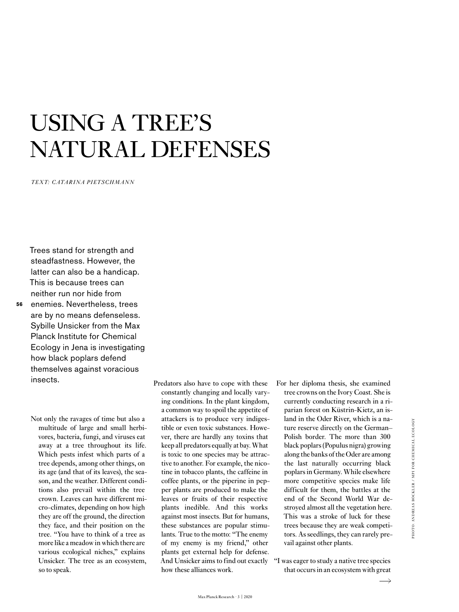# USING A TREE'S NATURAL DEFENSES

*TEXT: CATARINA PIETSCHMANN*

Trees stand for strength and steadfastness. However, the latter can also be a handicap. This is because trees can neither run nor hide from enemies. Nevertheless, trees are by no means defenseless. Sybille Unsicker from the Max Planck Institute for Chemical Ecology in Jena is investigating how black poplars defend themselves against voracious insects.

**56**

Not only the ravages of time but also a multitude of large and small herbivores, bacteria, fungi, and viruses eat away at a tree throughout its life. Which pests infest which parts of a tree depends, among other things, on its age (and that of its leaves), the season, and the weather. Different conditions also prevail within the tree crown. Leaves can have different micro-climates, depending on how high they are off the ground, the direction they face, and their position on the tree. "You have to think of a tree as more like a meadow in which there are various ecological niches," explains Unsicker. The tree as an ecosystem, so to speak.

Predators also have to cope with these constantly changing and locally varying conditions. In the plant kingdom, a common way to spoil the appetite of attackers is to produce very indigestible or even toxic substances. However, there are hardly any toxins that keep all predators equally at bay. What is toxic to one species may be attractive to another. For example, the nicotine in tobacco plants, the caffeine in coffee plants, or the piperine in pepper plants are produced to make the leaves or fruits of their respective plants inedible. And this works against most insects. But for humans, these substances are popular stimulants. True to the motto: "The enemy of my enemy is my friend," other plants get external help for defense. And Unsicker aims to find out exactly how these alliances work.

For her diploma thesis, she examined tree crowns on the Ivory Coast. She is currently conducting research in a riparian forest on Küstrin-Kietz, an island in the Oder River, which is a nature reserve directly on the German– Polish border. The more than 300 black poplars (Populus nigra) growing along the banks of the Oder are among the last naturally occurring black poplars in Germany. While elsewhere more competitive species make life difficult for them, the battles at the end of the Second World War destroyed almost all the vegetation here. This was a stroke of luck for these trees because they are weak competitors. As seedlings, they can rarely prevail against other plants.

"I was eager to study a native tree species that occurs in an ecosystem with great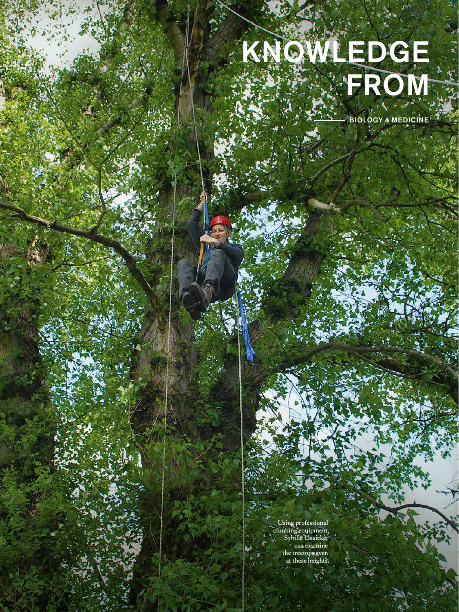# KNOWLEDGE FROM

BIOLOGY & MEDICINE

**57**

Using professional climbing equipment, Sybille Unsicker can examine the treetops even at these heights.

Max Planck Research · 3 | 2020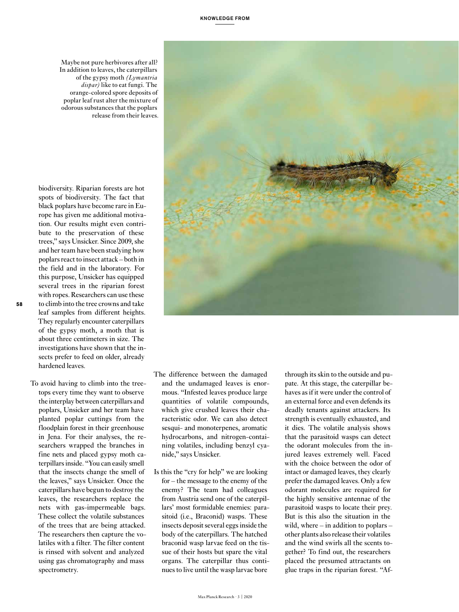biodiversity. Riparian forests are hot spots of biodiversity. The fact that black poplars have become rare in Europe has given me additional motivation. Our results might even contribute to the preservation of these trees," says Unsicker. Since 2009, she and her team have been studying how poplars react to insect attack – both in the field and in the laboratory. For this purpose, Unsicker has equipped several trees in the riparian forest with ropes. Researchers can use these to climb into the tree crowns and take leaf samples from different heights. odorous substances that the poplars release from their leaves.

Maybe not pure herbivores after all? In addition to leaves, the caterpillars of the gypsy moth *(Lymantria dispar)* like to eat fungi. The orange-colored spore deposits of poplar leaf rust alter the mixture of

They regularly encounter caterpillars of the gypsy moth, a moth that is about three centimeters in size. The investigations have shown that the insects prefer to feed on older, already hardened leaves.

**58**

To avoid having to climb into the treetops every time they want to observe the interplay between caterpillars and poplars, Unsicker and her team have planted poplar cuttings from the floodplain forest in their greenhouse in Jena. For their analyses, the researchers wrapped the branches in fine nets and placed gypsy moth caterpillars inside. "You can easily smell that the insects change the smell of the leaves," says Unsicker. Once the caterpillars have begun to destroy the leaves, the researchers replace the nets with gas-impermeable bags. These collect the volatile substances of the trees that are being attacked. The researchers then capture the volatiles with a filter. The filter content is rinsed with solvent and analyzed using gas chromatography and mass spectrometry.



- The difference between the damaged and the undamaged leaves is enormous. "Infested leaves produce large quantities of volatile compounds, which give crushed leaves their characteristic odor. We can also detect sesqui- and monoterpenes, aromatic hydrocarbons, and nitrogen-containing volatiles, including benzyl cyanide," says Unsicker.
- Is this the "cry for help" we are looking for – the message to the enemy of the enemy? The team had colleagues from Austria send one of the caterpillars' most formidable enemies: parasitoid (i.e., Braconid) wasps. These insects deposit several eggs inside the body of the caterpillars. The hatched braconid wasp larvae feed on the tissue of their hosts but spare the vital organs. The caterpillar thus continues to live until the wasp larvae bore

through its skin to the outside and pupate. At this stage, the caterpillar behaves as if it were under the control of an external force and even defends its deadly tenants against attackers. Its strength is eventually exhausted, and it dies. The volatile analysis shows that the parasitoid wasps can detect the odorant molecules from the injured leaves extremely well. Faced with the choice between the odor of intact or damaged leaves, they clearly prefer the damaged leaves. Only a few odorant molecules are required for the highly sensitive antennae of the parasitoid wasps to locate their prey. But is this also the situation in the wild, where – in addition to poplars – other plants also release their volatiles and the wind swirls all the scents together? To find out, the researchers placed the presumed attractants on glue traps in the riparian forest. "Af-

Max Planck Research · 3 | 2020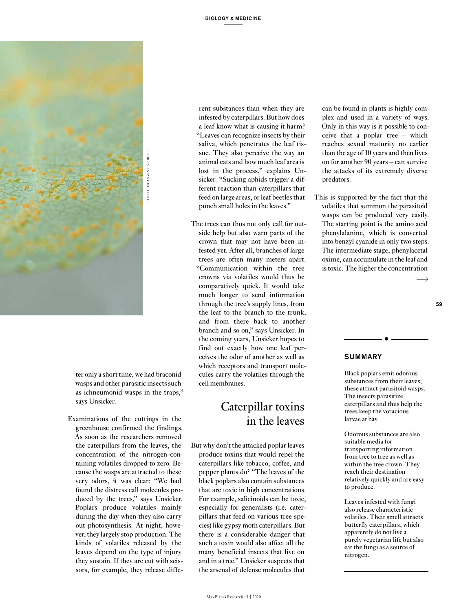

ter only a short time, we had braconid wasps and other parasitic insects such as ichneumonid wasps in the traps," says Unsicker.

Examinations of the cuttings in the greenhouse confirmed the findings. As soon as the researchers removed the caterpillars from the leaves, the concentration of the nitrogen-containing volatiles dropped to zero. Because the wasps are attracted to these very odors, it was clear: "We had found the distress call molecules produced by the trees," says Unsicker. Poplars produce volatiles mainly during the day when they also carry out photosynthesis. At night, however, they largely stop production. The kinds of volatiles released by the leaves depend on the type of injury they sustain. If they are cut with scissors, for example, they release diffe-

rent substances than when they are infested by caterpillars. But how does a leaf know what is causing it harm? "Leaves can recognize insects by their saliva, which penetrates the leaf tissue. They also perceive the way an animal eats and how much leaf area is lost in the process," explains Unsicker. "Sucking aphids trigger a different reaction than caterpillars that feed on large areas, or leaf beetles that punch small holes in the leaves."

The trees can thus not only call for outside help but also warn parts of the crown that may not have been infested yet. After all, branches of large trees are often many meters apart. "Communication within the tree crowns via volatiles would thus be comparatively quick. It would take much longer to send information through the tree's supply lines, from the leaf to the branch to the trunk, and from there back to another branch and so on," says Unsicker. In the coming years, Unsicker hopes to find out exactly how one leaf perceives the odor of another as well as which receptors and transport molecules carry the volatiles through the cell membranes.

## Caterpillar toxins in the leaves

But why don't the attacked poplar leaves produce toxins that would repel the caterpillars like tobacco, coffee, and pepper plants do? "The leaves of the black poplars also contain substances that are toxic in high concentrations. For example, salicinoids can be toxic, especially for generalists (i.e. caterpillars that feed on various tree species) like gypsy moth caterpillars. But there is a considerable danger that such a toxin would also affect all the many beneficial insects that live on and in a tree." Unsicker suspects that the arsenal of defense molecules that

can be found in plants is highly complex and used in a variety of ways. Only in this way is it possible to conceive that a poplar tree – which reaches sexual maturity no earlier than the age of 10 years and then lives on for another 90 years – can survive the attacks of its extremely diverse predators.

This is supported by the fact that the volatiles that summon the parasitoid wasps can be produced very easily. The starting point is the amino acid phenylalanine, which is converted into benzyl cyanide in only two steps. The intermediate stage, phenylacetal oxime, can accumulate in the leaf and is toxic. The higher the concentration

 $\overline{\phantom{a}}$ 

**59**

#### SUMMARY

Black poplars emit odorous substances from their leaves; these attract parasitoid wasps. The insects parasitize caterpillars and thus help the trees keep the voracious larvae at bay.

Odorous substances are also suitable media for transporting information from tree to tree as well as within the tree crown. They reach their destination relatively quickly and are easy to produce.

Leaves infested with fungi also release characteristic volatiles. Their smell attracts butterfly caterpillars, which apparently do not live a purely vegetarian life but also eat the fungi as a source of nitrogen.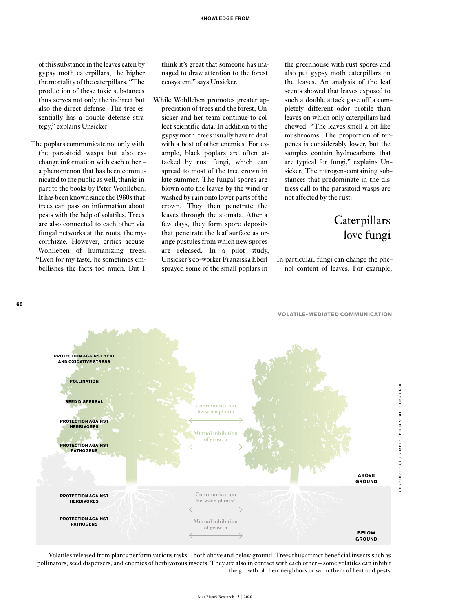of this substance in the leaves eaten by gypsy moth caterpillars, the higher the mortality of the caterpillars. "The production of these toxic substances thus serves not only the indirect but also the direct defense. The tree essentially has a double defense strategy," explains Unsicker.

The poplars communicate not only with the parasitoid wasps but also exchange information with each other – a phenomenon that has been communicated to the public as well, thanks in part to the books by Peter Wohlleben. It has been known since the 1980s that trees can pass on information about pests with the help of volatiles. Trees are also connected to each other via fungal networks at the roots, the mycorrhizae. However, critics accuse Wohlleben of humanizing trees. "Even for my taste, he sometimes embellishes the facts too much. But I

think it's great that someone has managed to draw attention to the forest ecosystem," says Unsicker.

While Wohlleben promotes greater appreciation of trees and the forest, Unsicker and her team continue to collect scientific data. In addition to the gypsy moth, trees usually have to deal with a host of other enemies. For example, black poplars are often attacked by rust fungi, which can spread to most of the tree crown in late summer. The fungal spores are blown onto the leaves by the wind or washed by rain onto lower parts of the crown. They then penetrate the leaves through the stomata. After a few days, they form spore deposits that penetrate the leaf surface as orange pustules from which new spores are released. In a pilot study, Unsicker's co-worker Franziska Eberl sprayed some of the small poplars in

the greenhouse with rust spores and also put gypsy moth caterpillars on the leaves. An analysis of the leaf scents showed that leaves exposed to such a double attack gave off a completely different odor profile than leaves on which only caterpillars had chewed. "The leaves smell a bit like mushrooms. The proportion of terpenes is considerably lower, but the samples contain hydrocarbons that are typical for fungi," explains Unsicker. The nitrogen-containing substances that predominate in the distress call to the parasitoid wasps are not affected by the rust.

# **Caterpillars** love fungi

In particular, fungi can change the phenol content of leaves. For example,



Volatiles released from plants perform various tasks – both above and below ground. Trees thus attract beneficial insects such as pollinators, seed dispersers, and enemies of herbivorous insects. They are also in contact with each other – some volatiles can inhibit the growth of their neighbors or warn them of heat and pests.